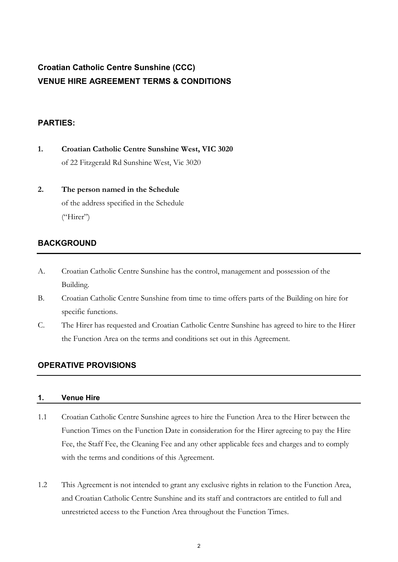# **Croatian Catholic Centre Sunshine (CCC) VENUE HIRE AGREEMENT TERMS & CONDITIONS**

# **PARTIES:**

- **1. Croatian Catholic Centre Sunshine West, VIC 3020** of 22 Fitzgerald Rd Sunshine West, Vic 3020
- **2. The person named in the Schedule** of the address specified in the Schedule  $($ "Hirer")

# **BACKGROUND**

- A. Croatian Catholic Centre Sunshine has the control, management and possession of the Building.
- B. Croatian Catholic Centre Sunshine from time to time offers parts of the Building on hire for specific functions.
- C. The Hirer has requested and Croatian Catholic Centre Sunshine has agreed to hire to the Hirer the Function Area on the terms and conditions set out in this Agreement.

# **OPERATIVE PROVISIONS**

# **1. Venue Hire**

- 1.1 Croatian Catholic Centre Sunshine agrees to hire the Function Area to the Hirer between the Function Times on the Function Date in consideration for the Hirer agreeing to pay the Hire Fee, the Staff Fee, the Cleaning Fee and any other applicable fees and charges and to comply with the terms and conditions of this Agreement.
- 1.2 This Agreement is not intended to grant any exclusive rights in relation to the Function Area, and Croatian Catholic Centre Sunshine and its staff and contractors are entitled to full and unrestricted access to the Function Area throughout the Function Times.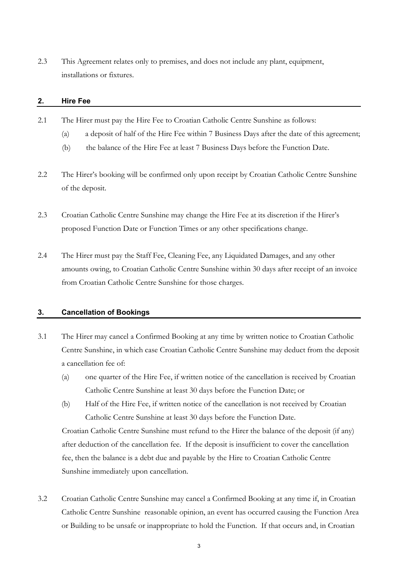2.3 This Agreement relates only to premises, and does not include any plant, equipment, installations or fixtures.

#### **2. Hire Fee**

- 2.1 The Hirer must pay the Hire Fee to Croatian Catholic Centre Sunshine as follows:
	- (a) a deposit of half of the Hire Fee within 7 Business Days after the date of this agreement;
	- (b) the balance of the Hire Fee at least 7 Business Days before the Function Date.
- 2.2 The Hirer's booking will be confirmed only upon receipt by Croatian Catholic Centre Sunshine of the deposit.
- 2.3 Croatian Catholic Centre Sunshine may change the Hire Fee at its discretion if the Hirer's proposed Function Date or Function Times or any other specifications change.
- 2.4 The Hirer must pay the Staff Fee, Cleaning Fee, any Liquidated Damages, and any other amounts owing, to Croatian Catholic Centre Sunshine within 30 days after receipt of an invoice from Croatian Catholic Centre Sunshine for those charges.

# **3. Cancellation of Bookings**

- 3.1 The Hirer may cancel a Confirmed Booking at any time by written notice to Croatian Catholic Centre Sunshine, in which case Croatian Catholic Centre Sunshine may deduct from the deposit a cancellation fee of:
	- (a) one quarter of the Hire Fee, if written notice of the cancellation is received by Croatian Catholic Centre Sunshine at least 30 days before the Function Date; or
	- (b) Half of the Hire Fee, if written notice of the cancellation is not received by Croatian Catholic Centre Sunshine at least 30 days before the Function Date.

Croatian Catholic Centre Sunshine must refund to the Hirer the balance of the deposit (if any) after deduction of the cancellation fee. If the deposit is insufficient to cover the cancellation fee, then the balance is a debt due and payable by the Hire to Croatian Catholic Centre Sunshine immediately upon cancellation.

3.2 Croatian Catholic Centre Sunshine may cancel a Confirmed Booking at any time if, in Croatian Catholic Centre Sunshine reasonable opinion, an event has occurred causing the Function Area or Building to be unsafe or inappropriate to hold the Function. If that occurs and, in Croatian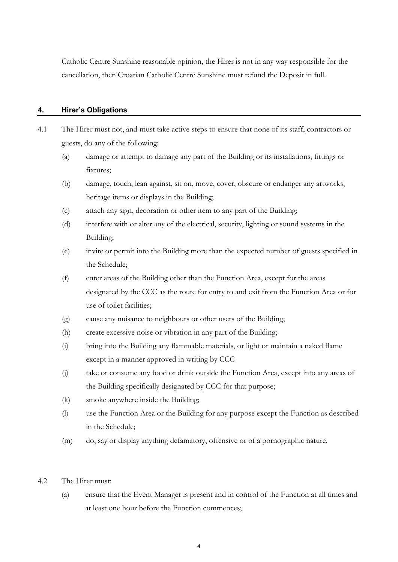Catholic Centre Sunshine reasonable opinion, the Hirer is not in any way responsible for the cancellation, then Croatian Catholic Centre Sunshine must refund the Deposit in full.

# **4. Hirer's Obligations**

- 4.1 The Hirer must not, and must take active steps to ensure that none of its staff, contractors or guests, do any of the following:
	- (a) damage or attempt to damage any part of the Building or its installations, fittings or fixtures;
	- (b) damage, touch, lean against, sit on, move, cover, obscure or endanger any artworks, heritage items or displays in the Building;
	- (c) attach any sign, decoration or other item to any part of the Building;
	- (d) interfere with or alter any of the electrical, security, lighting or sound systems in the Building;
	- (e) invite or permit into the Building more than the expected number of guests specified in the Schedule;
	- (f) enter areas of the Building other than the Function Area, except for the areas designated by the CCC as the route for entry to and exit from the Function Area or for use of toilet facilities;
	- (g) cause any nuisance to neighbours or other users of the Building;
	- (h) create excessive noise or vibration in any part of the Building;
	- (i) bring into the Building any flammable materials, or light or maintain a naked flame except in a manner approved in writing by CCC
	- (j) take or consume any food or drink outside the Function Area, except into any areas of the Building specifically designated by CCC for that purpose;
	- (k) smoke anywhere inside the Building;
	- (l) use the Function Area or the Building for any purpose except the Function as described in the Schedule;
	- (m) do, say or display anything defamatory, offensive or of a pornographic nature.

#### 4.2 The Hirer must:

(a) ensure that the Event Manager is present and in control of the Function at all times and at least one hour before the Function commences;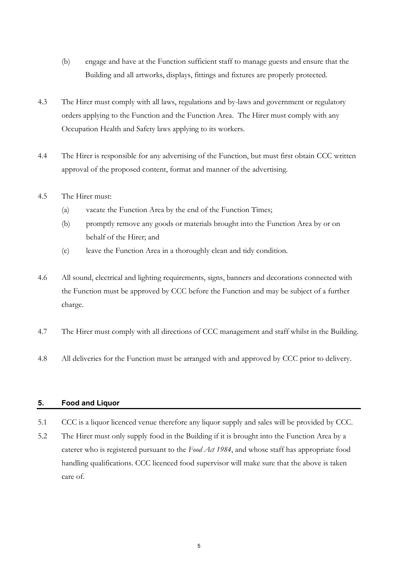- (b) engage and have at the Function sufficient staff to manage guests and ensure that the Building and all artworks, displays, fittings and fixtures are properly protected.
- 4.3 The Hirer must comply with all laws, regulations and by-laws and government or regulatory orders applying to the Function and the Function Area. The Hirer must comply with any Occupation Health and Safety laws applying to its workers.
- 4.4 The Hirer is responsible for any advertising of the Function, but must first obtain CCC written approval of the proposed content, format and manner of the advertising.
- 4.5 The Hirer must:
	- (a) vacate the Function Area by the end of the Function Times;
	- (b) promptly remove any goods or materials brought into the Function Area by or on behalf of the Hirer; and
	- (c) leave the Function Area in a thoroughly clean and tidy condition.
- 4.6 All sound, electrical and lighting requirements, signs, banners and decorations connected with the Function must be approved by CCC before the Function and may be subject of a further charge.
- 4.7 The Hirer must comply with all directions of CCC management and staff whilst in the Building.
- 4.8 All deliveries for the Function must be arranged with and approved by CCC prior to delivery.

# **5. Food and Liquor**

- 5.1 CCC is a liquor licenced venue therefore any liquor supply and sales will be provided by CCC.
- 5.2 The Hirer must only supply food in the Building if it is brought into the Function Area by a caterer who is registered pursuant to the *Food Act 1984*, and whose staff has appropriate food handling qualifications. CCC licenced food supervisor will make sure that the above is taken care of.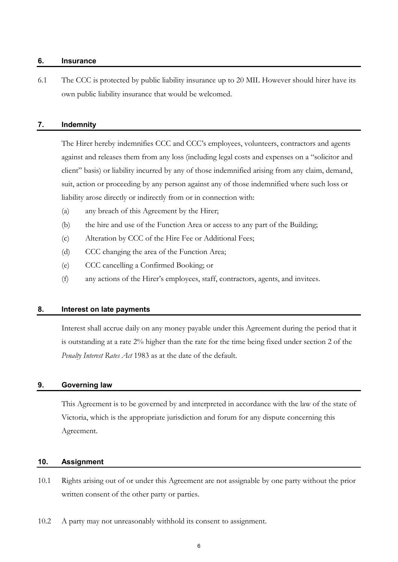#### **6. Insurance**

6.1 The CCC is protected by public liability insurance up to 20 MIL However should hirer have its own public liability insurance that would be welcomed.

# **7. Indemnity**

 The Hirer hereby indemnifies CCC and CCC's employees, volunteers, contractors and agents against and releases them from any loss (including legal costs and expenses on a "solicitor and client" basis) or liability incurred by any of those indemnified arising from any claim, demand, suit, action or proceeding by any person against any of those indemnified where such loss or liability arose directly or indirectly from or in connection with:

- (a) any breach of this Agreement by the Hirer;
- (b) the hire and use of the Function Area or access to any part of the Building;
- (c) Alteration by CCC of the Hire Fee or Additional Fees;
- (d) CCC changing the area of the Function Area;
- (e) CCC cancelling a Confirmed Booking; or
- (f) any actions of the Hirer's employees, staff, contractors, agents, and invitees.

# **8. Interest on late payments**

 Interest shall accrue daily on any money payable under this Agreement during the period that it is outstanding at a rate 2% higher than the rate for the time being fixed under section 2 of the *Penalty Interest Rates Act* 1983 as at the date of the default.

#### **9. Governing law**

 This Agreement is to be governed by and interpreted in accordance with the law of the state of Victoria, which is the appropriate jurisdiction and forum for any dispute concerning this Agreement.

#### **10. Assignment**

- 10.1 Rights arising out of or under this Agreement are not assignable by one party without the prior written consent of the other party or parties.
- 10.2 A party may not unreasonably withhold its consent to assignment.